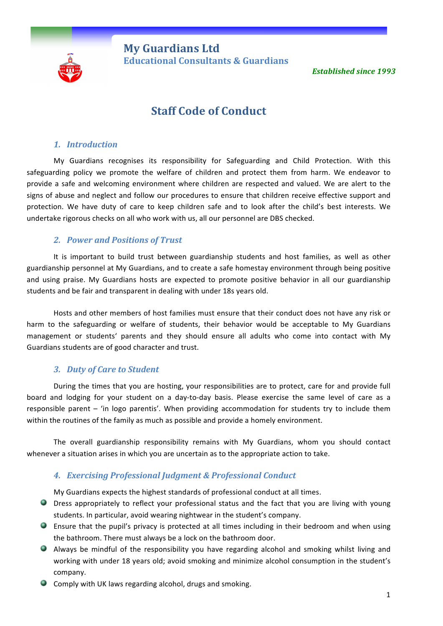

**My Guardians Ltd** **Educational Consultants & Guardians** 

**Established since 1993** 

# **Staff Code of Conduct**

#### *1. Introduction*

My Guardians recognises its responsibility for Safeguarding and Child Protection. With this safeguarding policy we promote the welfare of children and protect them from harm. We endeavor to provide a safe and welcoming environment where children are respected and valued. We are alert to the signs of abuse and neglect and follow our procedures to ensure that children receive effective support and protection. We have duty of care to keep children safe and to look after the child's best interests. We undertake rigorous checks on all who work with us, all our personnel are DBS checked.

#### *2. Power and Positions of Trust*

It is important to build trust between guardianship students and host families, as well as other guardianship personnel at My Guardians, and to create a safe homestay environment through being positive and using praise. My Guardians hosts are expected to promote positive behavior in all our guardianship students and be fair and transparent in dealing with under 18s years old.

Hosts and other members of host families must ensure that their conduct does not have any risk or harm to the safeguarding or welfare of students, their behavior would be acceptable to My Guardians management or students' parents and they should ensure all adults who come into contact with My Guardians students are of good character and trust.

## *3. Duty of Care to Student*

During the times that you are hosting, your responsibilities are to protect, care for and provide full board and lodging for your student on a day-to-day basis. Please exercise the same level of care as a responsible parent  $-$  'in logo parentis'. When providing accommodation for students try to include them within the routines of the family as much as possible and provide a homely environment.

The overall guardianship responsibility remains with My Guardians, whom you should contact whenever a situation arises in which you are uncertain as to the appropriate action to take.

## *4. Exercising Professional Judgment & Professional Conduct*

My Guardians expects the highest standards of professional conduct at all times.

- O Dress appropriately to reflect your professional status and the fact that you are living with young students. In particular, avoid wearing nightwear in the student's company.
- **Ensure that the pupil's privacy is protected at all times including in their bedroom and when using** the bathroom. There must always be a lock on the bathroom door.
- Always be mindful of the responsibility you have regarding alcohol and smoking whilst living and working with under 18 years old; avoid smoking and minimize alcohol consumption in the student's company.
- $\bullet$  Comply with UK laws regarding alcohol, drugs and smoking.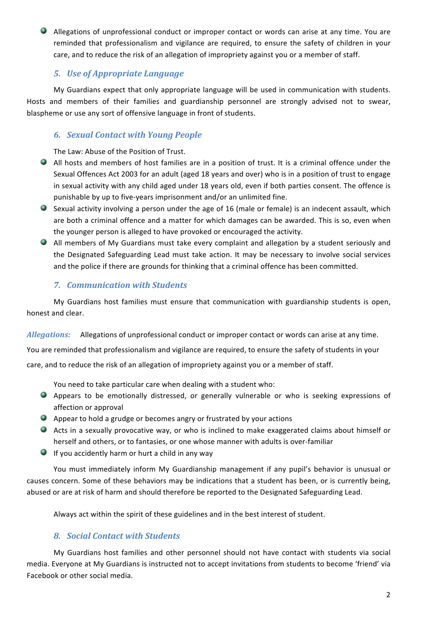$\bullet$  Allegations of unprofessional conduct or improper contact or words can arise at any time. You are reminded that professionalism and vigilance are required, to ensure the safety of children in your care, and to reduce the risk of an allegation of impropriety against you or a member of staff.

# **5.** Use of Appropriate Language

My Guardians expect that only appropriate language will be used in communication with students. Hosts and members of their families and guardianship personnel are strongly advised not to swear, blaspheme or use any sort of offensive language in front of students.

# *6. Sexual Contact with Young People*

The Law: Abuse of the Position of Trust.

- All hosts and members of host families are in a position of trust. It is a criminal offence under the Sexual Offences Act 2003 for an adult (aged 18 years and over) who is in a position of trust to engage in sexual activity with any child aged under 18 years old, even if both parties consent. The offence is punishable by up to five-years imprisonment and/or an unlimited fine.
- $\bullet$  Sexual activity involving a person under the age of 16 (male or female) is an indecent assault, which are both a criminal offence and a matter for which damages can be awarded. This is so, even when the younger person is alleged to have provoked or encouraged the activity.
- All members of My Guardians must take every complaint and allegation by a student seriously and the Designated Safeguarding Lead must take action. It may be necessary to involve social services and the police if there are grounds for thinking that a criminal offence has been committed.

# *7. Communication with Students*

My Guardians host families must ensure that communication with guardianship students is open, honest and clear.

*Allegations:* Allegations of unprofessional conduct or improper contact or words can arise at any time.

You are reminded that professionalism and vigilance are required, to ensure the safety of students in your

care, and to reduce the risk of an allegation of impropriety against you or a member of staff.

You need to take particular care when dealing with a student who:

- Appears to be emotionally distressed, or generally vulnerable or who is seeking expressions of affection or approval
- $\bullet$  Appear to hold a grudge or becomes angry or frustrated by your actions
- Acts in a sexually provocative way, or who is inclined to make exaggerated claims about himself or herself and others, or to fantasies, or one whose manner with adults is over-familiar
- $\bullet$  If you accidently harm or hurt a child in any way

You must immediately inform My Guardianship management if any pupil's behavior is unusual or causes concern. Some of these behaviors may be indications that a student has been, or is currently being, abused or are at risk of harm and should therefore be reported to the Designated Safeguarding Lead.

Always act within the spirit of these guidelines and in the best interest of student.

# *8. Social Contact with Students*

My Guardians host families and other personnel should not have contact with students via social media. Everyone at My Guardians is instructed not to accept invitations from students to become 'friend' via Facebook or other social media.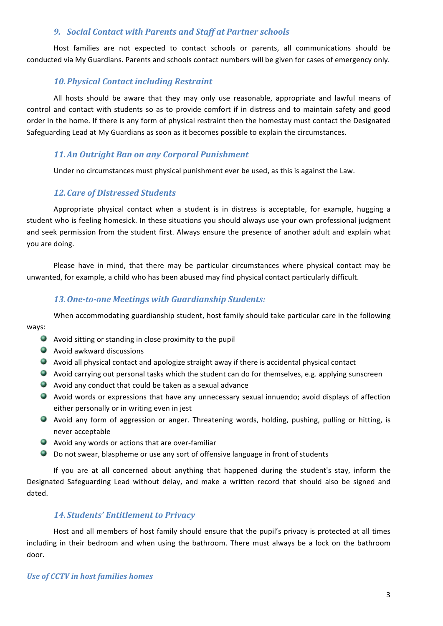#### **9.** *Social Contact with Parents and Staff at Partner schools*

Host families are not expected to contact schools or parents, all communications should be conducted via My Guardians. Parents and schools contact numbers will be given for cases of emergency only.

## *10.Physical Contact including Restraint*

All hosts should be aware that they may only use reasonable, appropriate and lawful means of control and contact with students so as to provide comfort if in distress and to maintain safety and good order in the home. If there is any form of physical restraint then the homestay must contact the Designated Safeguarding Lead at My Guardians as soon as it becomes possible to explain the circumstances.

## 11.An Outright Ban on any Corporal Punishment

Under no circumstances must physical punishment ever be used, as this is against the Law.

## *12.Care of Distressed Students*

Appropriate physical contact when a student is in distress is acceptable, for example, hugging a student who is feeling homesick. In these situations you should always use your own professional judgment and seek permission from the student first. Always ensure the presence of another adult and explain what you are doing.

Please have in mind, that there may be particular circumstances where physical contact may be unwanted, for example, a child who has been abused may find physical contact particularly difficult.

## *13.One-to-one Meetings with Guardianship Students:*

When accommodating guardianship student, host family should take particular care in the following ways:

- $\bullet$  Avoid sitting or standing in close proximity to the pupil
- $\bullet$  Avoid awkward discussions
- $\bullet$  Avoid all physical contact and apologize straight away if there is accidental physical contact
- Avoid carrying out personal tasks which the student can do for themselves, e.g. applying sunscreen
- $\bullet$  Avoid any conduct that could be taken as a sexual advance
- Avoid words or expressions that have any unnecessary sexual innuendo; avoid displays of affection either personally or in writing even in jest
- Avoid any form of aggression or anger. Threatening words, holding, pushing, pulling or hitting, is never acceptable
- $\bullet$  Avoid any words or actions that are over-familiar
- $\bullet$  Do not swear, blaspheme or use any sort of offensive language in front of students

If you are at all concerned about anything that happened during the student's stay, inform the Designated Safeguarding Lead without delay, and make a written record that should also be signed and dated. 

#### 14. Students' Entitlement to Privacy

Host and all members of host family should ensure that the pupil's privacy is protected at all times including in their bedroom and when using the bathroom. There must always be a lock on the bathroom door.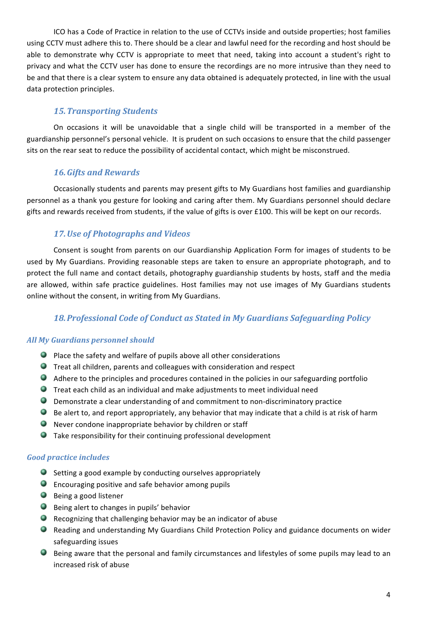ICO has a Code of Practice in relation to the use of CCTVs inside and outside properties; host families using CCTV must adhere this to. There should be a clear and lawful need for the recording and host should be able to demonstrate why CCTV is appropriate to meet that need, taking into account a student's right to privacy and what the CCTV user has done to ensure the recordings are no more intrusive than they need to be and that there is a clear system to ensure any data obtained is adequately protected, in line with the usual data protection principles.

# *15.Transporting Students*

On occasions it will be unavoidable that a single child will be transported in a member of the guardianship personnel's personal vehicle. It is prudent on such occasions to ensure that the child passenger sits on the rear seat to reduce the possibility of accidental contact, which might be misconstrued.

## **16. Gifts and Rewards**

Occasionally students and parents may present gifts to My Guardians host families and guardianship personnel as a thank you gesture for looking and caring after them. My Guardians personnel should declare gifts and rewards received from students, if the value of gifts is over £100. This will be kept on our records.

# 17. Use of Photographs and Videos

Consent is sought from parents on our Guardianship Application Form for images of students to be used by My Guardians. Providing reasonable steps are taken to ensure an appropriate photograph, and to protect the full name and contact details, photography guardianship students by hosts, staff and the media are allowed, within safe practice guidelines. Host families may not use images of My Guardians students online without the consent, in writing from My Guardians.

# 18. Professional Code of Conduct as Stated in My Guardians Safeguarding Policy

## *All My Guardians personnel should*

- $\bullet$  Place the safety and welfare of pupils above all other considerations
- $\bullet$  Treat all children, parents and colleagues with consideration and respect
- $\bullet$  Adhere to the principles and procedures contained in the policies in our safeguarding portfolio
- $\bullet$  Treat each child as an individual and make adjustments to meet individual need
- $\bullet$  Demonstrate a clear understanding of and commitment to non-discriminatory practice
- $\bullet$  Be alert to, and report appropriately, any behavior that may indicate that a child is at risk of harm
- $\bullet$  Never condone inappropriate behavior by children or staff
- $\bullet$  Take responsibility for their continuing professional development

#### *Good practice includes*

- $\bullet$  Setting a good example by conducting ourselves appropriately
- $\bullet$  Encouraging positive and safe behavior among pupils
- $\bullet$  Being a good listener
- $\bullet$  Being alert to changes in pupils' behavior
- $\bullet$  Recognizing that challenging behavior may be an indicator of abuse
- **Reading and understanding My Guardians Child Protection Policy and guidance documents on wider** safeguarding issues
- $\bullet$  Being aware that the personal and family circumstances and lifestyles of some pupils may lead to an increased risk of abuse